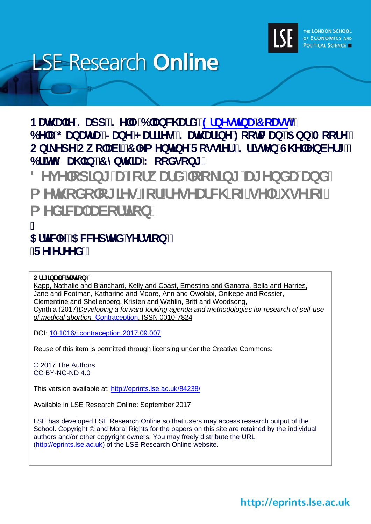

# **LSE Research Online**

**BUA U]Y?Uddž?Y`m6`UbW UfXž9fbYghbU7cUghž** 6 YU; UbUfUž>UbY<Uff]Ygž?UA Uf]bY: ccha Ubž5 bb AccfYž Cb]\_YdYCk c`UV]ž7`Ya YbHbY`Fcgg]Yfž?f]ghYb`G\Y`YbVYf[ ž 6 f]ltiK U `]bž7 mbh ]UK ccXgcb[

8 Yj Ycd]b[ 'UZtfk UfX!'cc\_]b[ 'U YbXUUbX' a Yh cXc'c[ ]Yq'Zcf'fYqYUfW 'cZqY'Zi qY'cZ a YXJWU 'UVcfhcb'

### Ĵ **5 fHWY f5 WWdHYX j Yfg]cbL** fF Y7Yf YYXł

#### Cf][ ]bU 'WHLHcb."

Kapp, Nathalie and Blanchard, Kelly and Coast, Ernestina and Ganatra, Bella and Harries, Jane and Footman, Katharine and Moore, Ann and Owolabi, Onikepe and Rossier, Clementine and Shellenberg, Kristen and Wahlin, Britt and Woodsong, Cynthia (2017)*Developing a forward-looking agenda and methodologies for research of self-use of medical abortion.* [Contraception.](http://www.contraceptionjournal.org/) ISSN 0010-7824

DOI: [10.1016/j.contraception.2017.09.007](http://doi.org/10.1016/j.contraception.2017.09.007)

Reuse of this item is permitted through licensing under the Creative Commons:

© 2017 The Authors CC BY-NC-ND 4.0

This version available at: <http://eprints.lse.ac.uk/84238/>

Available in LSE Research Online: September 2017

LSE has developed LSE Research Online so that users may access research output of the School. Copyright © and Moral Rights for the papers on this site are retained by the individual authors and/or other copyright owners. You may freely distribute the URL (http://eprints.lse.ac.uk) of the LSE Research Online website.

http://eprints.lse.ac.uk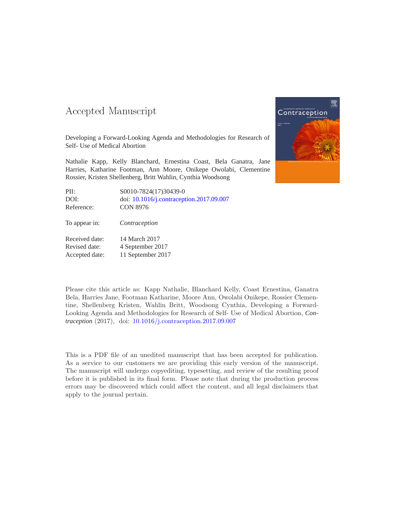#### -- -

Developing a Forward-Looking Agenda and Methodologies for Research of Self- Use of Medical Abortion

Nathalie Kapp, Kelly Blanchard, Ernestina Coast, Bela Ganatra, Jane Harries, Katharine Footman, Ann Moore, Onikepe Owolabi, Clementine Rossier, Kristen Shellenberg, Britt Wahlin, Cynthia Woodsong



| DOI:          | doi: 10.1016/j.contraception.2017.09.007 |
|---------------|------------------------------------------|
| Reference:    | <b>CON 8976</b>                          |
| To appear in: | Contraception                            |

Received date: 14 March 2017 Revised date: 4 September 2017 Accepted date: 11 September 2017

PII: S0010-7824(17)30439-0

Please cite this article as: Kapp Nathalie, Blanchard Kelly, Coast Ernestina, Ganatra Bela, Harries Jane, Footman Katharine, Moore Ann, Owolabi Onikepe, Rossier Clementine, Shellenberg Kristen, Wahlin Britt, Woodsong Cynthia, Developing a Forward-Looking Agenda and Methodologies for Research of Self- Use of Medical Abortion, *Contraception* (2017), doi: [10.1016/j.contraception.2017.09.007](http://dx.doi.org/10.1016/j.contraception.2017.09.007)

This is a PDF file of an unedited manuscript that has been accepted for publication. As a service to our customers we are providing this early version of the manuscript. The manuscript will undergo copyediting, typesetting, and review of the resulting proof before it is published in its final form. Please note that during the production process errors may be discovered which could affect the content, and all legal disclaimers that apply to the journal pertain.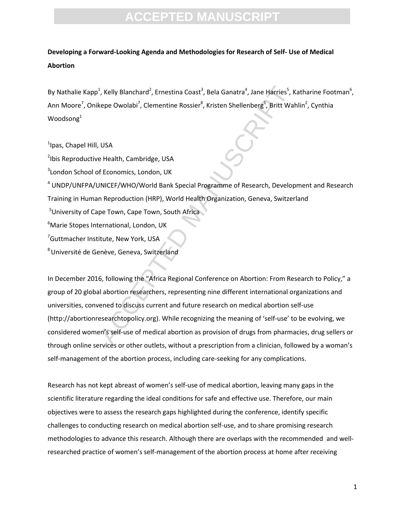## **CCEPTED MANUS**

#### **Developing a Forward-Looking Agenda and Methodologies for Research of Self- Use of Medical Abortion**

By Nathalie Kapp<sup>1</sup>, Kelly Blanchard<sup>2</sup>, Ernestina Coast<sup>3</sup>, Bela Ganatra<sup>4</sup>, Jane Harries<sup>5</sup>, Katharine Footman<sup>6</sup>, Ann Moore<sup>7</sup>, Onikepe Owolabi<sup>7</sup>, Clementine Rossier<sup>8</sup>, Kristen Shellenberg<sup>1</sup>, Britt Wahlin<sup>2</sup>, Cynthia  $Woodsong<sup>1</sup>$ 

<sup>1</sup>Ipas, Chapel Hill, USA

<sup>2</sup>Ibis Reproductive Health, Cambridge, USA

 ${}^{3}$ London School of Economics, London, UK

<sup>4</sup> UNDP/UNFPA/UNICEF/WHO/World Bank Special Programme of Research, Development and Research

Training in Human Reproduction (HRP), World Health Organization, Geneva, Switzerland

<sup>5</sup>University of Cape Town, Cape Town, South Africa

<sup>6</sup>Marie Stopes International, London, UK

<sup>7</sup>Guttmacher Institute, New York, USA

<sup>8</sup>[Université de Genève,](https://www.unige.ch/) Geneva, Switzerland

<sup>1</sup>, Kelly Blanchard<sup>2</sup>, Ernestina Coast<sup>3</sup>, Bela Ganatra<sup>4</sup>, Jane Harries<sup>5</sup>, K<br>kepe Owolabi<sup>7</sup>, Clementine Rossier<sup>8</sup>, Kristen Shellenberg<sup>2</sup>, Britt War<br>Kepe Owolabi<sup>7</sup>, Clementine Rossier<sup>8</sup>, Kristen Shellenberg<sup>2</sup>, Bri In December 2016, following the "Africa Regional Conference on Abortion: From Research to Policy," a group of 20 global abortion researchers, representing nine different international organizations and universities, convened to discuss current and future research on medical abortion self-use (http://abortionresearchtopolicy.org). While recognizing the meaning of 'self-use' to be evolving, we considered women's self-use of medical abortion as provision of drugs from pharmacies, drug sellers or through online services or other outlets, without a prescription from a clinician, followed by a woman's self-management of the abortion process, including care-seeking for any complications.

Research has not kept abreast of women's self-use of medical abortion, leaving many gaps in the scientific literature regarding the ideal conditions for safe and effective use. Therefore, our main objectives were to assess the research gaps highlighted during the conference, identify specific challenges to conducting research on medical abortion self-use, and to share promising research methodologies to advance this research. Although there are overlaps with the recommended and wellresearched practice of women's self-management of the abortion process at home after receiving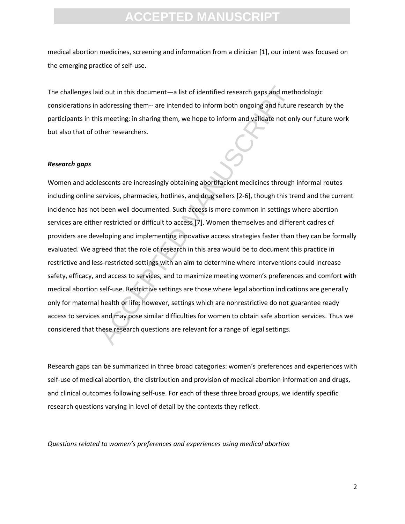medical abortion medicines, screening and information from a clinician [1], our intent was focused on the emerging practice of self-use.

The challenges laid out in this document—a list of identified research gaps and methodologic considerations in addressing them-- are intended to inform both ongoing and future research by the participants in this meeting; in sharing them, we hope to inform and validate not only our future work but also that of other researchers.

#### *Research gaps*

identified research gaps and method<br>and the addressing them—are intended to inform both ongoing and future<br>is meeting; in sharing them, we hope to inform and validate not on<br>ther researchers.<br><br>escents are increasingly obta Women and adolescents are increasingly obtaining abortifacient medicines through informal routes including online services, pharmacies, hotlines, and drug sellers [2-6], though this trend and the current incidence has not been well documented. Such access is more common in settings where abortion services are either restricted or difficult to access [7]. Women themselves and different cadres of providers are developing and implementing innovative access strategies faster than they can be formally evaluated. We agreed that the role of research in this area would be to document this practice in restrictive and less-restricted settings with an aim to determine where interventions could increase safety, efficacy, and access to services, and to maximize meeting women's preferences and comfort with medical abortion self-use. Restrictive settings are those where legal abortion indications are generally only for maternal health or life; however, settings which are nonrestrictive do not guarantee ready access to services and may pose similar difficulties for women to obtain safe abortion services. Thus we considered that these research questions are relevant for a range of legal settings.

Research gaps can be summarized in three broad categories: women's preferences and experiences with self-use of medical abortion, the distribution and provision of medical abortion information and drugs, and clinical outcomes following self-use. For each of these three broad groups, we identify specific research questions varying in level of detail by the contexts they reflect.

*Questions related to women's preferences and experiences using medical abortion*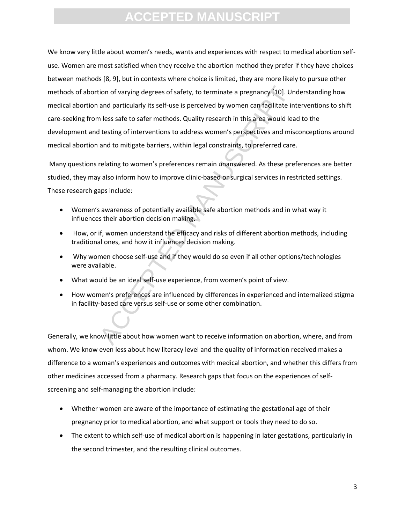ion of varying degrees of safety, to terminate a pregnancy [10]. Un<br>and particularly its self-use is perceived by women can facilitate in<br>nless safe to safer methods. Quality research in this area would lea<br>t testing of in We know very little about women's needs, wants and experiences with respect to medical abortion selfuse. Women are most satisfied when they receive the abortion method they prefer if they have choices between methods [8, 9], but in contexts where choice is limited, they are more likely to pursue other methods of abortion of varying degrees of safety, to terminate a pregnancy [10]. Understanding how medical abortion and particularly its self-use is perceived by women can facilitate interventions to shift care-seeking from less safe to safer methods. Quality research in this area would lead to the development and testing of interventions to address women's perspectives and misconceptions around medical abortion and to mitigate barriers, within legal constraints, to preferred care.

 Many questions relating to women's preferences remain unanswered. As these preferences are better studied, they may also inform how to improve clinic-based or surgical services in restricted settings. These research gaps include:

- Women's awareness of potentially available safe abortion methods and in what way it influences their abortion decision making.
- How, or if, women understand the efficacy and risks of different abortion methods, including traditional ones, and how it influences decision making.
- Why women choose self-use and if they would do so even if all other options/technologies were available.
- What would be an ideal self-use experience, from women's point of view.
- How women's preferences are influenced by differences in experienced and internalized stigma in facility-based care versus self-use or some other combination.

Generally, we know little about how women want to receive information on abortion, where, and from whom. We know even less about how literacy level and the quality of information received makes a difference to a woman's experiences and outcomes with medical abortion, and whether this differs from other medicines accessed from a pharmacy. Research gaps that focus on the experiences of selfscreening and self-managing the abortion include:

- Whether women are aware of the importance of estimating the gestational age of their pregnancy prior to medical abortion, and what support or tools they need to do so.
- The extent to which self-use of medical abortion is happening in later gestations, particularly in the second trimester, and the resulting clinical outcomes.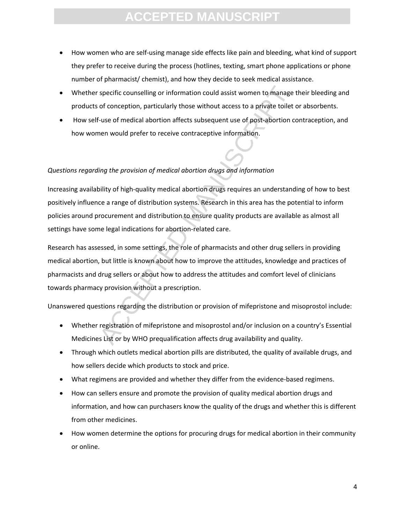- How women who are self-using manage side effects like pain and bleeding, what kind of support they prefer to receive during the process (hotlines, texting, smart phone applications or phone number of pharmacist/ chemist), and how they decide to seek medical assistance.
- Whether specific counselling or information could assist women to manage their bleeding and products of conception, particularly those without access to a private toilet or absorbents.
- How self-use of medical abortion affects subsequent use of post-abortion contraception, and how women would prefer to receive contraceptive information.

#### *Questions regarding the provision of medical abortion drugs and information*

Increasing availability of high-quality medical abortion drugs requires an understanding of how to best positively influence a range of distribution systems. Research in this area has the potential to inform policies around procurement and distribution to ensure quality products are available as almost all settings have some legal indications for abortion-related care.

specific counselling or information could assist women to manage<br>of conception, particularly those without access to a private toilet<br>i-use of medical abortion affects subsequent use of post-abortion co<br>nen would prefer to Research has assessed, in some settings, the role of pharmacists and other drug sellers in providing medical abortion, but little is known about how to improve the attitudes, knowledge and practices of pharmacists and drug sellers or about how to address the attitudes and comfort level of clinicians towards pharmacy provision without a prescription.

Unanswered questions regarding the distribution or provision of mifepristone and misoprostol include:

- Whether registration of mifepristone and misoprostol and/or inclusion on a country's Essential Medicines List or by WHO prequalification affects drug availability and quality.
- Through which outlets medical abortion pills are distributed, the quality of available drugs, and how sellers decide which products to stock and price.
- What regimens are provided and whether they differ from the evidence-based regimens.
- How can sellers ensure and promote the provision of quality medical abortion drugs and information, and how can purchasers know the quality of the drugs and whether this is different from other medicines.
- How women determine the options for procuring drugs for medical abortion in their community or online.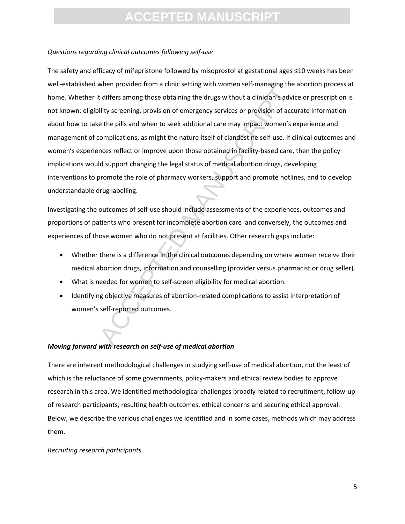#### *Questions regarding clinical outcomes following self-use*

men provided nonra dume setting with women sen-managing the<br>differs among those obtaining the drugs without a clinician's advidity<br>screening, provision of emergency services or provision of accu-<br>te the pills and when to s The safety and efficacy of mifepristone followed by misoprostol at gestational ages ≤10 weeks has been well-established when provided from a clinic setting with women self-managing the abortion process at home. Whether it differs among those obtaining the drugs without a clinician's advice or prescription is not known: eligibility screening, provision of emergency services or provision of accurate information about how to take the pills and when to seek additional care may impact women's experience and management of complications, as might the nature itself of clandestine self-use. If clinical outcomes and women's experiences reflect or improve upon those obtained in facility-based care, then the policy implications would support changing the legal status of medical abortion drugs, developing interventions to promote the role of pharmacy workers, support and promote hotlines, and to develop understandable drug labelling.

Investigating the outcomes of self-use should include assessments of the experiences, outcomes and proportions of patients who present for incomplete abortion care and conversely, the outcomes and experiences of those women who do not present at facilities. Other research gaps include:

- Whether there is a difference in the clinical outcomes depending on where women receive their medical abortion drugs, information and counselling (provider versus pharmacist or drug seller).
- What is needed for women to self-screen eligibility for medical abortion.
- Identifying objective measures of abortion-related complications to assist interpretation of women's self-reported outcomes.

#### *Moving forward with research on self-use of medical abortion*

There are inherent methodological challenges in studying self-use of medical abortion, not the least of which is the reluctance of some governments, policy-makers and ethical review bodies to approve research in this area. We identified methodological challenges broadly related to recruitment, follow-up of research participants, resulting health outcomes, ethical concerns and securing ethical approval. Below, we describe the various challenges we identified and in some cases, methods which may address them.

#### *Recruiting research participants*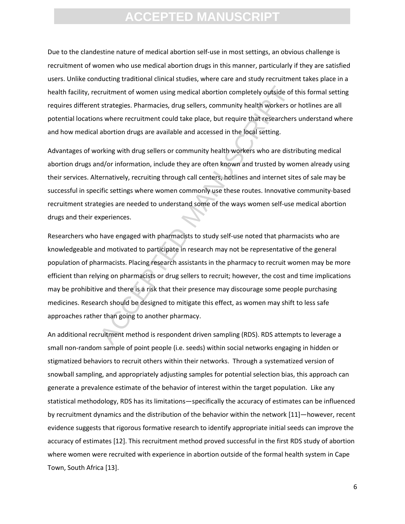Due to the clandestine nature of medical abortion self-use in most settings, an obvious challenge is recruitment of women who use medical abortion drugs in this manner, particularly if they are satisfied users. Unlike conducting traditional clinical studies, where care and study recruitment takes place in a health facility, recruitment of women using medical abortion completely outside of this formal setting requires different strategies. Pharmacies, drug sellers, community health workers or hotlines are all potential locations where recruitment could take place, but require that researchers understand where and how medical abortion drugs are available and accessed in the local setting.

Advantages of working with drug sellers or community health workers who are distributing medical abortion drugs and/or information, include they are often known and trusted by women already using their services. Alternatively, recruiting through call centers, hotlines and internet sites of sale may be successful in specific settings where women commonly use these routes. Innovative community-based recruitment strategies are needed to understand some of the ways women self-use medical abortion drugs and their experiences.

cruitment of women using medical abortion completely outside of t<br>strategies. Pharmacies, drug sellers, community health workers or<br>s where recruitment could take place, but require that researchers<br>abortion drugs are avai Researchers who have engaged with pharmacists to study self-use noted that pharmacists who are knowledgeable and motivated to participate in research may not be representative of the general population of pharmacists. Placing research assistants in the pharmacy to recruit women may be more efficient than relying on pharmacists or drug sellers to recruit; however, the cost and time implications may be prohibitive and there is a risk that their presence may discourage some people purchasing medicines. Research should be designed to mitigate this effect, as women may shift to less safe approaches rather than going to another pharmacy.

An additional recruitment method is respondent driven sampling (RDS). RDS attempts to leverage a small non-random sample of point people (i.e. seeds) within social networks engaging in hidden or stigmatized behaviors to recruit others within their networks. Through a systematized version of snowball sampling, and appropriately adjusting samples for potential selection bias, this approach can generate a prevalence estimate of the behavior of interest within the target population. Like any statistical methodology, RDS has its limitations—specifically the accuracy of estimates can be influenced by recruitment dynamics and the distribution of the behavior within the network [11]—however, recent evidence suggests that rigorous formative research to identify appropriate initial seeds can improve the accuracy of estimates [12]. This recruitment method proved successful in the first RDS study of abortion where women were recruited with experience in abortion outside of the formal health system in Cape Town, South Africa [13].

6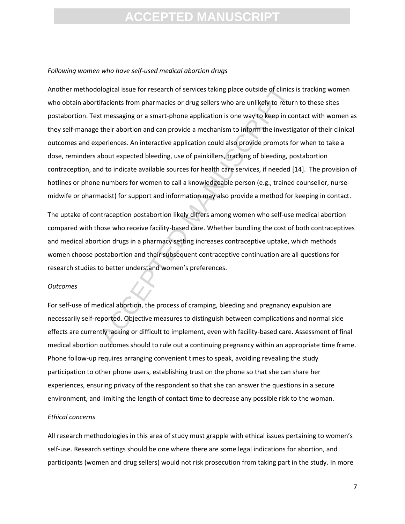#### *Following women who have self-used medical abortion drugs*

ological issue for research of services taking place outside of clinics<br>ifacients from pharmacies or drug sellers who are unlikely to return<br>t messaging or a smart-phone application is one way to keep in cor<br>their abortion Another methodological issue for research of services taking place outside of clinics is tracking women who obtain abortifacients from pharmacies or drug sellers who are unlikely to return to these sites postabortion. Text messaging or a smart-phone application is one way to keep in contact with women as they self-manage their abortion and can provide a mechanism to inform the investigator of their clinical outcomes and experiences. An interactive application could also provide prompts for when to take a dose, reminders about expected bleeding, use of painkillers, tracking of bleeding, postabortion contraception, and to indicate available sources for health care services, if needed [14]. The provision of hotlines or phone numbers for women to call a knowledgeable person (e.g., trained counsellor, nursemidwife or pharmacist) for support and information may also provide a method for keeping in contact.

The uptake of contraception postabortion likely differs among women who self-use medical abortion compared with those who receive facility-based care. Whether bundling the cost of both contraceptives and medical abortion drugs in a pharmacy setting increases contraceptive uptake, which methods women choose postabortion and their subsequent contraceptive continuation are all questions for research studies to better understand women's preferences.

#### *Outcomes*

For self-use of medical abortion, the process of cramping, bleeding and pregnancy expulsion are necessarily self-reported. Objective measures to distinguish between complications and normal side effects are currently lacking or difficult to implement, even with facility-based care. Assessment of final medical abortion outcomes should to rule out a continuing pregnancy within an appropriate time frame. Phone follow-up requires arranging convenient times to speak, avoiding revealing the study participation to other phone users, establishing trust on the phone so that she can share her experiences, ensuring privacy of the respondent so that she can answer the questions in a secure environment, and limiting the length of contact time to decrease any possible risk to the woman.

#### *Ethical concerns*

All research methodologies in this area of study must grapple with ethical issues pertaining to women's self-use. Research settings should be one where there are some legal indications for abortion, and participants (women and drug sellers) would not risk prosecution from taking part in the study. In more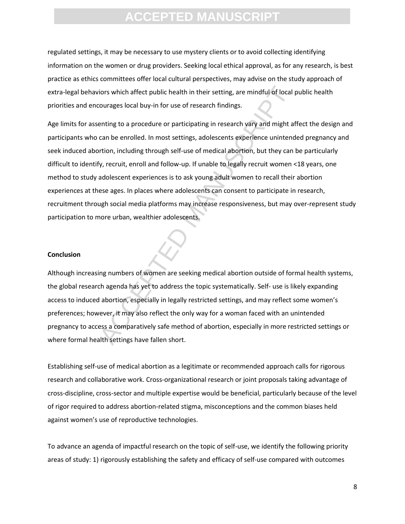regulated settings, it may be necessary to use mystery clients or to avoid collecting identifying information on the women or drug providers. Seeking local ethical approval, as for any research, is best practice as ethics committees offer local cultural perspectives, may advise on the study approach of extra-legal behaviors which affect public health in their setting, are mindful of local public health priorities and encourages local buy-in for use of research findings.

iors which affect public health in their setting, are mindful of local proviages local buy-in for use of research findings.<br>
Enting to a procedure or participating in research vary and might af<br>
can be enrolled. In most se Age limits for assenting to a procedure or participating in research vary and might affect the design and participants who can be enrolled. In most settings, adolescents experience unintended pregnancy and seek induced abortion, including through self-use of medical abortion, but they can be particularly difficult to identify, recruit, enroll and follow-up. If unable to legally recruit women <18 years, one method to study adolescent experiences is to ask young adult women to recall their abortion experiences at these ages. In places where adolescents can consent to participate in research, recruitment through social media platforms may increase responsiveness, but may over-represent study participation to more urban, wealthier adolescents.

#### **Conclusion**

Although increasing numbers of women are seeking medical abortion outside of formal health systems, the global research agenda has yet to address the topic systematically. Self- use is likely expanding access to induced abortion, especially in legally restricted settings, and may reflect some women's preferences; however, it may also reflect the only way for a woman faced with an unintended pregnancy to access a comparatively safe method of abortion, especially in more restricted settings or where formal health settings have fallen short.

Establishing self-use of medical abortion as a legitimate or recommended approach calls for rigorous research and collaborative work. Cross-organizational research or joint proposals taking advantage of cross-discipline, cross-sector and multiple expertise would be beneficial, particularly because of the level of rigor required to address abortion-related stigma, misconceptions and the common biases held against women's use of reproductive technologies.

To advance an agenda of impactful research on the topic of self-use, we identify the following priority areas of study: 1) rigorously establishing the safety and efficacy of self-use compared with outcomes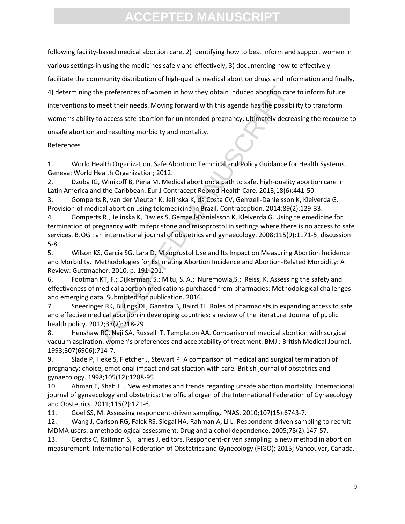ie preferences of women in how they obtain induced abortion care<br>meet their needs. Moving forward with this agenda has the possibil<br>o access safe abortion for unintended pregnancy, ultimately decrea<br>and resulting morbidity following facility-based medical abortion care, 2) identifying how to best inform and support women in various settings in using the medicines safely and effectively, 3) documenting how to effectively facilitate the community distribution of high-quality medical abortion drugs and information and finally, 4) determining the preferences of women in how they obtain induced abortion care to inform future interventions to meet their needs. Moving forward with this agenda has the possibility to transform women's ability to access safe abortion for unintended pregnancy, ultimately decreasing the recourse to unsafe abortion and resulting morbidity and mortality.

References

1. World Health Organization. Safe Abortion: Technical and Policy Guidance for Health Systems. Geneva: World Health Organization; 2012.

2. Dzuba IG, Winikoff B, Pena M. Medical abortion: a path to safe, high-quality abortion care in Latin America and the Caribbean. Eur J Contracept Reprod Health Care. 2013;18(6):441-50.

3. Gomperts R, van der Vleuten K, Jelinska K, da Costa CV, Gemzell-Danielsson K, Kleiverda G. Provision of medical abortion using telemedicine in Brazil. Contraception. 2014;89(2):129-33.

4. Gomperts RJ, Jelinska K, Davies S, Gemzell-Danielsson K, Kleiverda G. Using telemedicine for termination of pregnancy with mifepristone and misoprostol in settings where there is no access to safe services. BJOG : an international journal of obstetrics and gynaecology. 2008;115(9):1171-5; discussion 5-8.

5. Wilson KS, Garcia SG, Lara D. Misoprostol Use and Its Impact on Measuring Abortion Incidence and Morbidity. Methodologies for Estimating Abortion Incidence and Abortion-Related Morbidity: A Review: Guttmacher; 2010. p. 191-201.

6. Footman KT, F.; Dijkerman, S.; Mitu, S. A.; Nuremowla,S.; Reiss, K. Assessing the safety and effectiveness of medical abortion medications purchased from pharmacies: Methodological challenges and emerging data. Submitted for publication. 2016.

7. Sneeringer RK, Billings DL, Ganatra B, Baird TL. Roles of pharmacists in expanding access to safe and effective medical abortion in developing countries: a review of the literature. Journal of public health policy. 2012;33(2):218-29.

8. Henshaw RC, Naji SA, Russell IT, Templeton AA. Comparison of medical abortion with surgical vacuum aspiration: women's preferences and acceptability of treatment. BMJ : British Medical Journal. 1993;307(6906):714-7.

9. Slade P, Heke S, Fletcher J, Stewart P. A comparison of medical and surgical termination of pregnancy: choice, emotional impact and satisfaction with care. British journal of obstetrics and gynaecology. 1998;105(12):1288-95.

10. Ahman E, Shah IH. New estimates and trends regarding unsafe abortion mortality. International journal of gynaecology and obstetrics: the official organ of the International Federation of Gynaecology and Obstetrics. 2011;115(2):121-6.

11. Goel SS, M. Assessing respondent-driven sampling. PNAS. 2010;107(15):6743-7.

12. Wang J, Carlson RG, Falck RS, Siegal HA, Rahman A, Li L. Respondent-driven sampling to recruit MDMA users: a methodological assessment. Drug and alcohol dependence. 2005;78(2):147-57.

13. Gerdts C, Raifman S, Harries J, editors. Respondent-driven sampling: a new method in abortion measurement. International Federation of Obstetrics and Gynecology (FIGO); 2015; Vancouver, Canada.